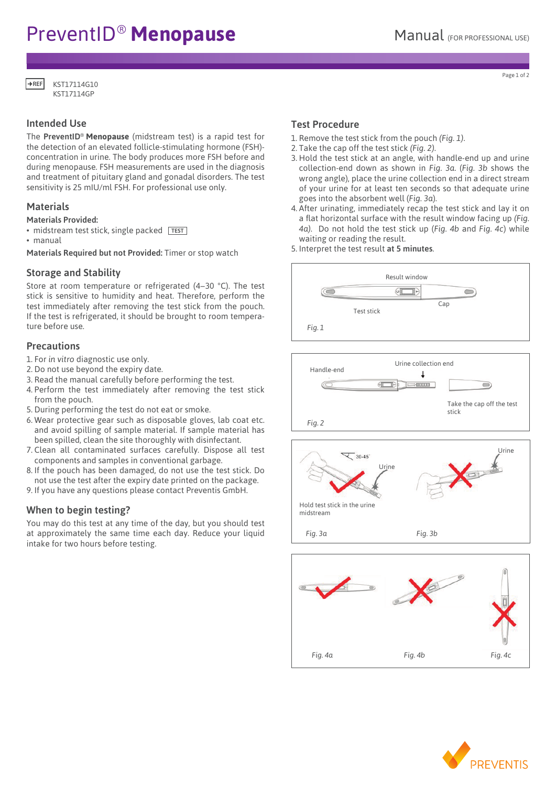# PreventID<sup>®</sup> Menopause Manual (FOR PROFESSIONAL USE)

KST17114G10 KST17114GP  $+$ REF

# Intended Use

The PreventID® **Menopause** (midstream test) is a rapid test for the detection of an elevated follicle-stimulating hormone (FSH) concentration in urine. The body produces more FSH before and during menopause. FSH measurements are used in the diagnosis and treatment of pituitary gland and gonadal disorders. The test sensitivity is 25 mIU/ml FSH. For professional use only.

# **Materials**

## Materials Provided:

- midstream test stick, single packed TEST
- manual

Materials Required but not Provided: Timer or stop watch

# Storage and Stability

Store at room temperature or refrigerated (4–30 °C). The test stick is sensitive to humidity and heat. Therefore, perform the test immediately after removing the test stick from the pouch. If the test is refrigerated, it should be brought to room temperature before use. (Revised 3-16-2010)  $\overline{R}$ 

# **Precautions**

1. For *in vitro* diagnostic use only.

- 2. Do not use beyond the expiry date.
- 2. Bo not use beyond the expiry date.<br>3. Read the manual carefully before performing the test.
- 4. Perform the test immediately after removing the test stick **Midstream Test stick** from the pouch. ely after removing the test
- I fold the pouch.<br>5. During performing the test do not eat or smoke.
- 6. Wear protective gear such as disposable gloves, lab coat etc. **How in the foiling** 2 and avoid spilling of sample material. If sample material has **Concerned to perform the test** been spilled, clean the site thoroughly with disinfectant. measure follicle-stimulating hormone (FSH) in urine. FSH 2. Do not use the test after the expiration date printed on **Midstream Test stick**
- 1. Clean all contaminated surfaces carefully. Dispose all test components and samples in conventional garbage.
- Components and samples in conventional garbage.<br>8. If the pouch has been damaged, do not use the test stick. Do not use the test after the expiry date printed on the package.  $4.0$  HOL USE THE TEST SHCK. DO
- 9. If you have any questions please contact Preventis GmbH. **Before You Begin** 1. Also the test after the en<sub>thin</sub>g and primed on the package.<br>
you have any questions please contact Preventis GmbH. rons preu.  $A$  following test system is a depended to the passage. measure follicle-stimulating hormone (FSH) in urine. FSH

# When to begin testing?

You may do this test at any time of the day, but you should test  $\frac{3.5}{2}$  at approximately the same time each day. Reduce your liquid Fig. 3a intake for two hours before testing. 2. Do not use the test after the experience of the experience of the experience of the experience of the experience on the experience of the experience of the experience of the experience of the experience of the experienc You may do this test at any time of the day, but you should test 4. Test can be used any time of day. at approximately the same time each day. Reduce your liquid  $Fig. 3a$  $F$ <sup>100</sup> $\frac{100}{2}$ You may do this test at any time of the day, but you should test **Figure 3** measurements are used in the diagnosis and treatment of pituitary

#### Test Procedure Fest Procedure freeze. est Procedure **can be used any time of the use**

**Before You Begin**

**Before You Begin**

- 1. Remove the test stick from the pouch *(Fig. 1)*.
- 2. Take the cap off the test stick *(Fig. 2)*.
- 3. Hold the test stick at an angle, with handle-end up and urine **collection-end down as shown in** *Fig. 3a.* **(***Fig. 3b* **shows the collection-end down as shown in** *Fig. 3a.* **(***Fig. 3b* **shows the** collection-end down as shown in rig. bd. (rig. bb shows the<br>wrong angle), place the urine collection end in a direct stream of your urine for at least ten seconds so that adequate urine goes into the absorbent well (*Fig. 3a*). wrong angle), place the urine collection end in a direct stream  $\alpha$  collection-end down as shown in Fig. 3d. (Fig. 3D shows the

measurements are used in the diagnosis and treatment of pituitary

- 4. After urinating, immediately recap the test stick and lay it on a flat horizontal surface with the result window facing up *(Fig.*  **Instructions Instructions** 4a). Do not hold the test stick up (Fig. 4b and Fig. 4c) while waiting or reading the result.
- maning of resulting the result.











Page 1 of 2 1. Read this entire pamphlet carefully. Do not open the foil 1. Read this entire pamphlet carefully. Do not open the foil